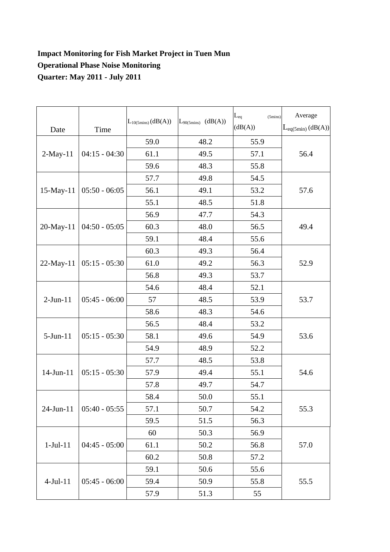## **Impact Monitoring for Fish Market Project in Tuen Mun Operational Phase Noise Monitoring Quarter: May 2011 - July 2011**

| Date            | Time            | $L_{10(5 mins)}(dB(A))$ | (dB(A))<br>$L_{90(5\text{mins})}$ | $L_{eq}$<br>$(5 \text{mins})$<br>(dB(A)) | Average<br>$L_{eq(5min)}(dB(A))$ |
|-----------------|-----------------|-------------------------|-----------------------------------|------------------------------------------|----------------------------------|
| $2-May-11$      | $04:15 - 04:30$ | 59.0                    | 48.2                              | 55.9                                     | 56.4                             |
|                 |                 | 61.1                    | 49.5                              | 57.1                                     |                                  |
|                 |                 | 59.6                    | 48.3                              | 55.8                                     |                                  |
| $15$ -May- $11$ | $05:50 - 06:05$ | 57.7                    | 49.8                              | 54.5                                     | 57.6                             |
|                 |                 | 56.1                    | 49.1                              | 53.2                                     |                                  |
|                 |                 | 55.1                    | 48.5                              | 51.8                                     |                                  |
| 20-May-11       | $04:50 - 05:05$ | 56.9                    | 47.7                              | 54.3                                     | 49.4                             |
|                 |                 | 60.3                    | 48.0                              | 56.5                                     |                                  |
|                 |                 | 59.1                    | 48.4                              | 55.6                                     |                                  |
| $22-May-11$     | $05:15 - 05:30$ | 60.3                    | 49.3                              | 56.4                                     | 52.9                             |
|                 |                 | 61.0                    | 49.2                              | 56.3                                     |                                  |
|                 |                 | 56.8                    | 49.3                              | 53.7                                     |                                  |
|                 | $05:45 - 06:00$ | 54.6                    | 48.4                              | 52.1                                     | 53.7                             |
| $2-Jun-11$      |                 | 57                      | 48.5                              | 53.9                                     |                                  |
|                 |                 | 58.6                    | 48.3                              | 54.6                                     |                                  |
| $5-Jun-11$      | $05:15 - 05:30$ | 56.5                    | 48.4                              | 53.2                                     | 53.6                             |
|                 |                 | 58.1                    | 49.6                              | 54.9                                     |                                  |
|                 |                 | 54.9                    | 48.9                              | 52.2                                     |                                  |
| $14$ -Jun- $11$ | $05:15 - 05:30$ | 57.7                    | 48.5                              | 53.8                                     | 54.6                             |
|                 |                 | 57.9                    | 49.4                              | 55.1                                     |                                  |
|                 |                 | 57.8                    | 49.7                              | 54.7                                     |                                  |
| 24-Jun-11       | $05:40 - 05:55$ | 58.4                    | 50.0                              | 55.1                                     | 55.3                             |
|                 |                 | 57.1                    | 50.7                              | 54.2                                     |                                  |
|                 |                 | 59.5                    | 51.5                              | 56.3                                     |                                  |
| $1-Jul-11$      | $04:45 - 05:00$ | 60                      | 50.3                              | 56.9                                     | 57.0                             |
|                 |                 | 61.1                    | 50.2                              | 56.8                                     |                                  |
|                 |                 | 60.2                    | 50.8                              | 57.2                                     |                                  |
| $4-Jul-11$      | $05:45 - 06:00$ | 59.1                    | 50.6                              | 55.6                                     | 55.5                             |
|                 |                 | 59.4                    | 50.9                              | 55.8                                     |                                  |
|                 |                 | 57.9                    | 51.3                              | 55                                       |                                  |